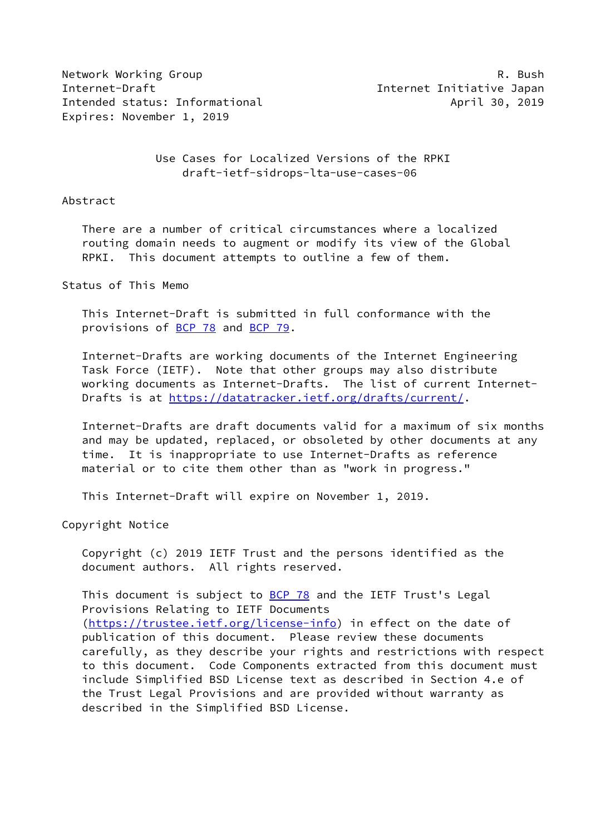Network Working Group **R. Bush** R. Bush Internet-Draft Internet Initiative Japan Intended status: Informational and all the control of April 30, 2019 Expires: November 1, 2019

 Use Cases for Localized Versions of the RPKI draft-ietf-sidrops-lta-use-cases-06

#### Abstract

 There are a number of critical circumstances where a localized routing domain needs to augment or modify its view of the Global RPKI. This document attempts to outline a few of them.

Status of This Memo

 This Internet-Draft is submitted in full conformance with the provisions of [BCP 78](https://datatracker.ietf.org/doc/pdf/bcp78) and [BCP 79](https://datatracker.ietf.org/doc/pdf/bcp79).

 Internet-Drafts are working documents of the Internet Engineering Task Force (IETF). Note that other groups may also distribute working documents as Internet-Drafts. The list of current Internet Drafts is at<https://datatracker.ietf.org/drafts/current/>.

 Internet-Drafts are draft documents valid for a maximum of six months and may be updated, replaced, or obsoleted by other documents at any time. It is inappropriate to use Internet-Drafts as reference material or to cite them other than as "work in progress."

This Internet-Draft will expire on November 1, 2019.

Copyright Notice

 Copyright (c) 2019 IETF Trust and the persons identified as the document authors. All rights reserved.

This document is subject to **[BCP 78](https://datatracker.ietf.org/doc/pdf/bcp78)** and the IETF Trust's Legal Provisions Relating to IETF Documents [\(https://trustee.ietf.org/license-info](https://trustee.ietf.org/license-info)) in effect on the date of publication of this document. Please review these documents carefully, as they describe your rights and restrictions with respect to this document. Code Components extracted from this document must include Simplified BSD License text as described in Section 4.e of the Trust Legal Provisions and are provided without warranty as described in the Simplified BSD License.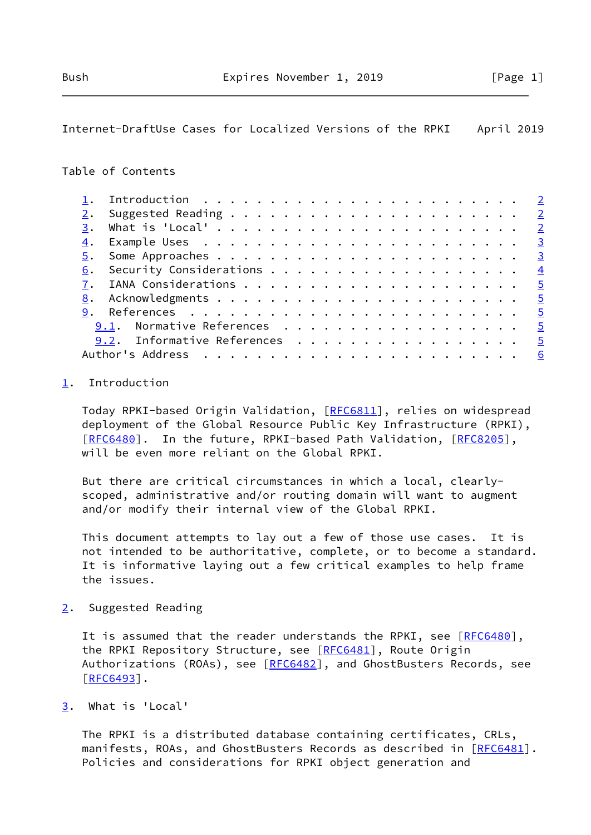### <span id="page-1-1"></span>Internet-DraftUse Cases for Localized Versions of the RPKI April 2019

## Table of Contents

| 3. |                                                          |
|----|----------------------------------------------------------|
|    |                                                          |
| 5. |                                                          |
| 6. |                                                          |
|    |                                                          |
|    |                                                          |
|    | $-5$                                                     |
|    | $-5$                                                     |
|    | $-5$                                                     |
|    | <u>6</u>                                                 |
|    | 9.1. Normative References<br>9.2. Informative References |

# <span id="page-1-0"></span>[1](#page-1-0). Introduction

 Today RPKI-based Origin Validation, [\[RFC6811](https://datatracker.ietf.org/doc/pdf/rfc6811)], relies on widespread deployment of the Global Resource Public Key Infrastructure (RPKI), [\[RFC6480](https://datatracker.ietf.org/doc/pdf/rfc6480)]. In the future, RPKI-based Path Validation, [\[RFC8205](https://datatracker.ietf.org/doc/pdf/rfc8205)], will be even more reliant on the Global RPKI.

 But there are critical circumstances in which a local, clearly scoped, administrative and/or routing domain will want to augment and/or modify their internal view of the Global RPKI.

 This document attempts to lay out a few of those use cases. It is not intended to be authoritative, complete, or to become a standard. It is informative laying out a few critical examples to help frame the issues.

<span id="page-1-2"></span>[2](#page-1-2). Suggested Reading

It is assumed that the reader understands the RPKI, see [\[RFC6480](https://datatracker.ietf.org/doc/pdf/rfc6480)], the RPKI Repository Structure, see [[RFC6481\]](https://datatracker.ietf.org/doc/pdf/rfc6481), Route Origin Authorizations (ROAs), see [[RFC6482\]](https://datatracker.ietf.org/doc/pdf/rfc6482), and GhostBusters Records, see [\[RFC6493](https://datatracker.ietf.org/doc/pdf/rfc6493)].

<span id="page-1-3"></span>[3](#page-1-3). What is 'Local'

 The RPKI is a distributed database containing certificates, CRLs, manifests, ROAs, and GhostBusters Records as described in [[RFC6481](https://datatracker.ietf.org/doc/pdf/rfc6481)]. Policies and considerations for RPKI object generation and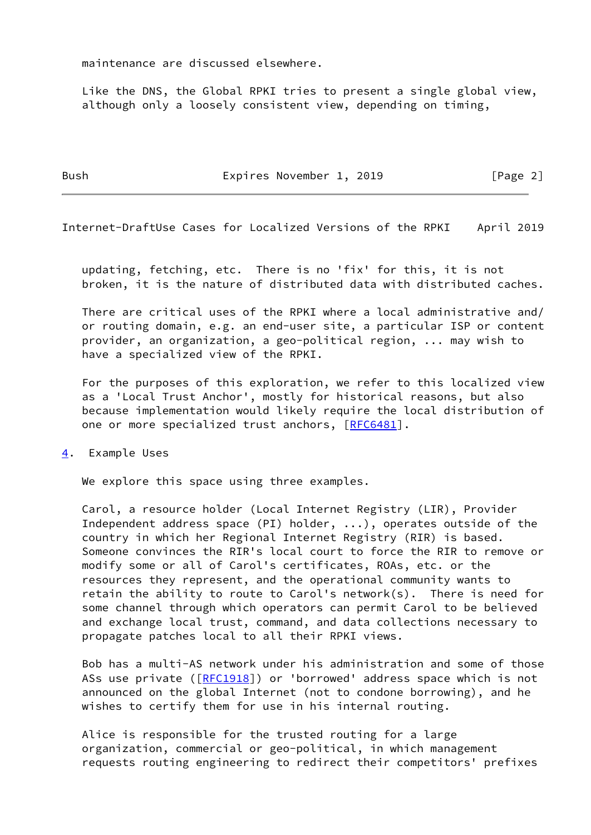maintenance are discussed elsewhere.

 Like the DNS, the Global RPKI tries to present a single global view, although only a loosely consistent view, depending on timing,

Bush **Expires November 1, 2019** [Page 2]

<span id="page-2-1"></span>Internet-DraftUse Cases for Localized Versions of the RPKI April 2019

 updating, fetching, etc. There is no 'fix' for this, it is not broken, it is the nature of distributed data with distributed caches.

 There are critical uses of the RPKI where a local administrative and/ or routing domain, e.g. an end-user site, a particular ISP or content provider, an organization, a geo-political region, ... may wish to have a specialized view of the RPKI.

 For the purposes of this exploration, we refer to this localized view as a 'Local Trust Anchor', mostly for historical reasons, but also because implementation would likely require the local distribution of one or more specialized trust anchors, [\[RFC6481](https://datatracker.ietf.org/doc/pdf/rfc6481)].

<span id="page-2-0"></span>[4](#page-2-0). Example Uses

We explore this space using three examples.

 Carol, a resource holder (Local Internet Registry (LIR), Provider Independent address space (PI) holder, ...), operates outside of the country in which her Regional Internet Registry (RIR) is based. Someone convinces the RIR's local court to force the RIR to remove or modify some or all of Carol's certificates, ROAs, etc. or the resources they represent, and the operational community wants to retain the ability to route to Carol's network(s). There is need for some channel through which operators can permit Carol to be believed and exchange local trust, command, and data collections necessary to propagate patches local to all their RPKI views.

 Bob has a multi-AS network under his administration and some of those ASs use private ( $[REC1918]$ ) or 'borrowed' address space which is not announced on the global Internet (not to condone borrowing), and he wishes to certify them for use in his internal routing.

 Alice is responsible for the trusted routing for a large organization, commercial or geo-political, in which management requests routing engineering to redirect their competitors' prefixes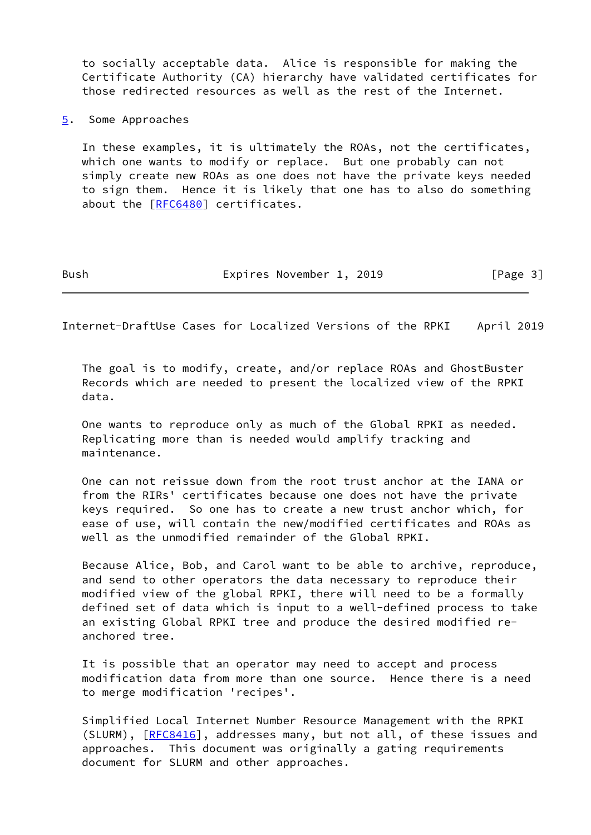to socially acceptable data. Alice is responsible for making the Certificate Authority (CA) hierarchy have validated certificates for those redirected resources as well as the rest of the Internet.

<span id="page-3-0"></span>[5](#page-3-0). Some Approaches

 In these examples, it is ultimately the ROAs, not the certificates, which one wants to modify or replace. But one probably can not simply create new ROAs as one does not have the private keys needed to sign them. Hence it is likely that one has to also do something about the [[RFC6480](https://datatracker.ietf.org/doc/pdf/rfc6480)] certificates.

Bush **Expires November 1, 2019** [Page 3]

<span id="page-3-1"></span>Internet-DraftUse Cases for Localized Versions of the RPKI April 2019

 The goal is to modify, create, and/or replace ROAs and GhostBuster Records which are needed to present the localized view of the RPKI data.

 One wants to reproduce only as much of the Global RPKI as needed. Replicating more than is needed would amplify tracking and maintenance.

 One can not reissue down from the root trust anchor at the IANA or from the RIRs' certificates because one does not have the private keys required. So one has to create a new trust anchor which, for ease of use, will contain the new/modified certificates and ROAs as well as the unmodified remainder of the Global RPKI.

 Because Alice, Bob, and Carol want to be able to archive, reproduce, and send to other operators the data necessary to reproduce their modified view of the global RPKI, there will need to be a formally defined set of data which is input to a well-defined process to take an existing Global RPKI tree and produce the desired modified re anchored tree.

 It is possible that an operator may need to accept and process modification data from more than one source. Hence there is a need to merge modification 'recipes'.

 Simplified Local Internet Number Resource Management with the RPKI (SLURM), [\[RFC8416](https://datatracker.ietf.org/doc/pdf/rfc8416)], addresses many, but not all, of these issues and approaches. This document was originally a gating requirements document for SLURM and other approaches.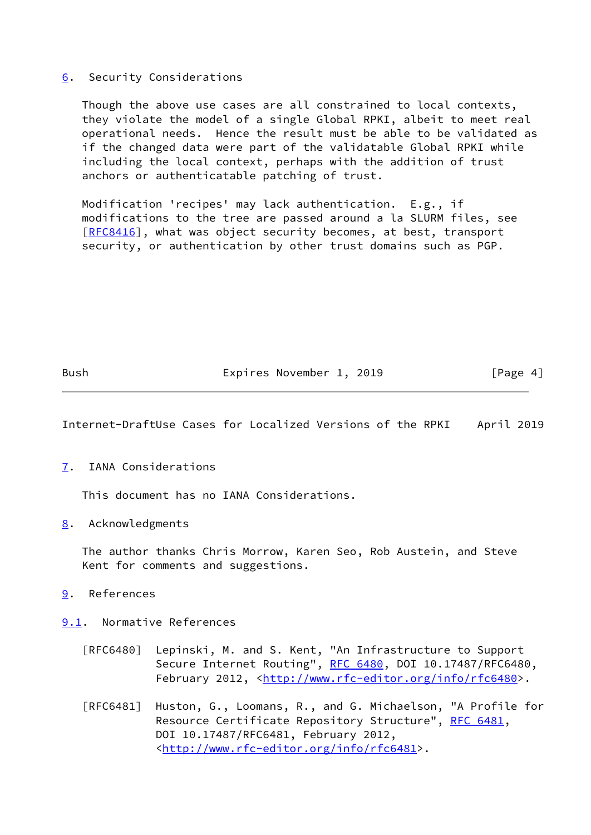#### <span id="page-4-0"></span>[6](#page-4-0). Security Considerations

 Though the above use cases are all constrained to local contexts, they violate the model of a single Global RPKI, albeit to meet real operational needs. Hence the result must be able to be validated as if the changed data were part of the validatable Global RPKI while including the local context, perhaps with the addition of trust anchors or authenticatable patching of trust.

 Modification 'recipes' may lack authentication. E.g., if modifications to the tree are passed around a la SLURM files, see [\[RFC8416](https://datatracker.ietf.org/doc/pdf/rfc8416)], what was object security becomes, at best, transport security, or authentication by other trust domains such as PGP.

Bush **Expires November 1, 2019** [Page 4]

<span id="page-4-2"></span>Internet-DraftUse Cases for Localized Versions of the RPKI April 2019

<span id="page-4-1"></span>[7](#page-4-1). IANA Considerations

This document has no IANA Considerations.

<span id="page-4-3"></span>[8](#page-4-3). Acknowledgments

 The author thanks Chris Morrow, Karen Seo, Rob Austein, and Steve Kent for comments and suggestions.

- <span id="page-4-4"></span>[9](#page-4-4). References
- <span id="page-4-5"></span>[9.1](#page-4-5). Normative References
	- [RFC6480] Lepinski, M. and S. Kent, "An Infrastructure to Support Secure Internet Routing", [RFC 6480](https://datatracker.ietf.org/doc/pdf/rfc6480), DOI 10.17487/RFC6480, February 2012, <<http://www.rfc-editor.org/info/rfc6480>>.
	- [RFC6481] Huston, G., Loomans, R., and G. Michaelson, "A Profile for Resource Certificate Repository Structure", [RFC 6481,](https://datatracker.ietf.org/doc/pdf/rfc6481) DOI 10.17487/RFC6481, February 2012, <<http://www.rfc-editor.org/info/rfc6481>>.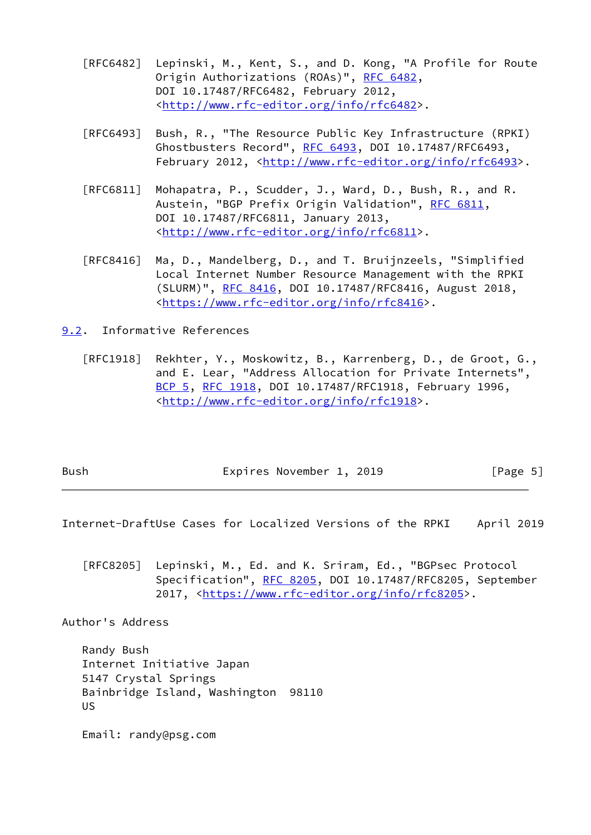- [RFC6482] Lepinski, M., Kent, S., and D. Kong, "A Profile for Route Origin Authorizations (ROAs)", [RFC 6482](https://datatracker.ietf.org/doc/pdf/rfc6482), DOI 10.17487/RFC6482, February 2012, <<http://www.rfc-editor.org/info/rfc6482>>.
- [RFC6493] Bush, R., "The Resource Public Key Infrastructure (RPKI) Ghostbusters Record", [RFC 6493](https://datatracker.ietf.org/doc/pdf/rfc6493), DOI 10.17487/RFC6493, February 2012, <<http://www.rfc-editor.org/info/rfc6493>>.
- [RFC6811] Mohapatra, P., Scudder, J., Ward, D., Bush, R., and R. Austein, "BGP Prefix Origin Validation", [RFC 6811,](https://datatracker.ietf.org/doc/pdf/rfc6811) DOI 10.17487/RFC6811, January 2013, <<http://www.rfc-editor.org/info/rfc6811>>.
- [RFC8416] Ma, D., Mandelberg, D., and T. Bruijnzeels, "Simplified Local Internet Number Resource Management with the RPKI (SLURM)", [RFC 8416](https://datatracker.ietf.org/doc/pdf/rfc8416), DOI 10.17487/RFC8416, August 2018, <[https://www.rfc-editor.org/info/rfc8416>](https://www.rfc-editor.org/info/rfc8416).

<span id="page-5-0"></span>[9.2](#page-5-0). Informative References

 [RFC1918] Rekhter, Y., Moskowitz, B., Karrenberg, D., de Groot, G., and E. Lear, "Address Allocation for Private Internets", [BCP 5,](https://datatracker.ietf.org/doc/pdf/bcp5) [RFC 1918](https://datatracker.ietf.org/doc/pdf/rfc1918), DOI 10.17487/RFC1918, February 1996, <<http://www.rfc-editor.org/info/rfc1918>>.

| Bush | Expires November 1, 2019 |  | [Page 5] |
|------|--------------------------|--|----------|
|------|--------------------------|--|----------|

<span id="page-5-1"></span>Internet-DraftUse Cases for Localized Versions of the RPKI April 2019

 [RFC8205] Lepinski, M., Ed. and K. Sriram, Ed., "BGPsec Protocol Specification", [RFC 8205,](https://datatracker.ietf.org/doc/pdf/rfc8205) DOI 10.17487/RFC8205, September 2017, [<https://www.rfc-editor.org/info/rfc8205](https://www.rfc-editor.org/info/rfc8205)>.

Author's Address

 Randy Bush Internet Initiative Japan 5147 Crystal Springs Bainbridge Island, Washington 98110 US

Email: randy@psg.com